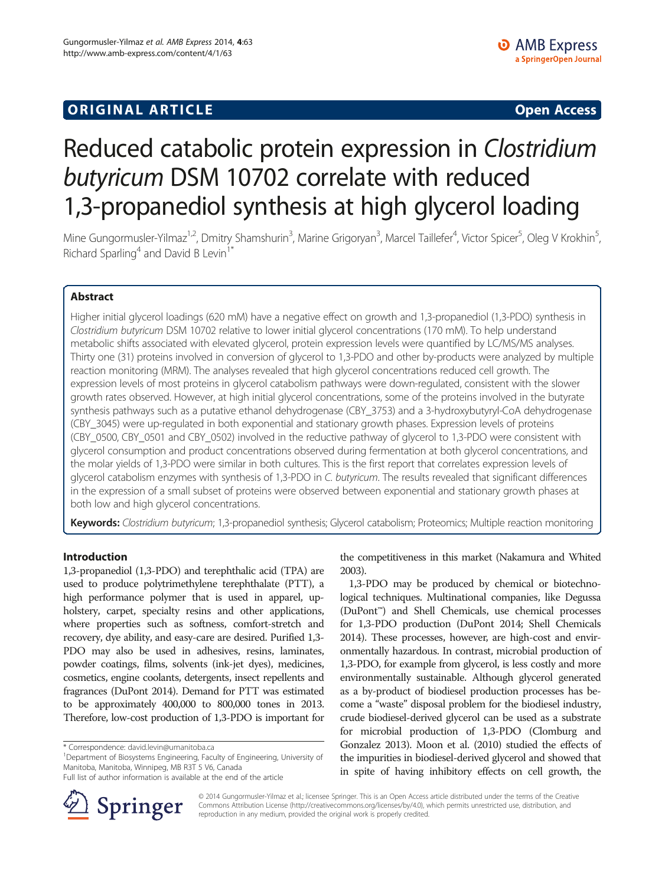## **ORIGINAL ARTICLE CONSUMING A LIGACION CONSUMING A LIGACION CONSUMING A LIGACION**

# Reduced catabolic protein expression in Clostridium butyricum DSM 10702 correlate with reduced 1,3-propanediol synthesis at high glycerol loading

Mine Gungormusler-Yilmaz<sup>1,2</sup>, Dmitry Shamshurin<sup>3</sup>, Marine Grigoryan<sup>3</sup>, Marcel Taillefer<sup>4</sup>, Victor Spicer<sup>5</sup>, Oleg V Krokhin<sup>5</sup> .<br>, Richard Sparling<sup>4</sup> and David B Levin<sup>1\*</sup>

## Abstract

Higher initial glycerol loadings (620 mM) have a negative effect on growth and 1,3-propanediol (1,3-PDO) synthesis in Clostridium butyricum DSM 10702 relative to lower initial glycerol concentrations (170 mM). To help understand metabolic shifts associated with elevated glycerol, protein expression levels were quantified by LC/MS/MS analyses. Thirty one (31) proteins involved in conversion of glycerol to 1,3-PDO and other by-products were analyzed by multiple reaction monitoring (MRM). The analyses revealed that high glycerol concentrations reduced cell growth. The expression levels of most proteins in glycerol catabolism pathways were down-regulated, consistent with the slower growth rates observed. However, at high initial glycerol concentrations, some of the proteins involved in the butyrate synthesis pathways such as a putative ethanol dehydrogenase (CBY\_3753) and a 3-hydroxybutyryl-CoA dehydrogenase (CBY\_3045) were up-regulated in both exponential and stationary growth phases. Expression levels of proteins (CBY\_0500, CBY\_0501 and CBY\_0502) involved in the reductive pathway of glycerol to 1,3-PDO were consistent with glycerol consumption and product concentrations observed during fermentation at both glycerol concentrations, and the molar yields of 1,3-PDO were similar in both cultures. This is the first report that correlates expression levels of glycerol catabolism enzymes with synthesis of 1,3-PDO in C. butyricum. The results revealed that significant differences in the expression of a small subset of proteins were observed between exponential and stationary growth phases at both low and high glycerol concentrations.

Keywords: Clostridium butyricum; 1,3-propanediol synthesis; Glycerol catabolism; Proteomics; Multiple reaction monitoring

## Introduction

1,3-propanediol (1,3-PDO) and terephthalic acid (TPA) are used to produce polytrimethylene terephthalate (PTT), a high performance polymer that is used in apparel, upholstery, carpet, specialty resins and other applications, where properties such as softness, comfort-stretch and recovery, dye ability, and easy-care are desired. Purified 1,3- PDO may also be used in adhesives, resins, laminates, powder coatings, films, solvents (ink-jet dyes), medicines, cosmetics, engine coolants, detergents, insect repellents and fragrances (DuPont [2014\)](#page-12-0). Demand for PTT was estimated to be approximately 400,000 to 800,000 tones in 2013. Therefore, low-cost production of 1,3-PDO is important for

<sup>1</sup>Department of Biosystems Engineering, Faculty of Engineering, University of Manitoba, Manitoba, Winnipeg, MB R3T 5 V6, Canada

Full list of author information is available at the end of the article



the competitiveness in this market (Nakamura and Whited [2003](#page-12-0)).

1,3-PDO may be produced by chemical or biotechnological techniques. Multinational companies, like Degussa (DuPont™) and Shell Chemicals, use chemical processes for 1,3-PDO production (DuPont [2014;](#page-12-0) Shell Chemicals [2014\)](#page-13-0). These processes, however, are high-cost and environmentally hazardous. In contrast, microbial production of 1,3-PDO, for example from glycerol, is less costly and more environmentally sustainable. Although glycerol generated as a by-product of biodiesel production processes has become a "waste" disposal problem for the biodiesel industry, crude biodiesel-derived glycerol can be used as a substrate for microbial production of 1,3-PDO (Clomburg and Gonzalez [2013\)](#page-12-0). Moon et al. ([2010](#page-12-0)) studied the effects of the impurities in biodiesel-derived glycerol and showed that in spite of having inhibitory effects on cell growth, the

© 2014 Gungormusler-Yilmaz et al.; licensee Springer. This is an Open Access article distributed under the terms of the Creative Commons Attribution License (<http://creativecommons.org/licenses/by/4.0>), which permits unrestricted use, distribution, and reproduction in any medium, provided the original work is properly credited.

<sup>\*</sup> Correspondence: [david.levin@umanitoba.ca](mailto:david.levin@umanitoba.ca) <sup>1</sup>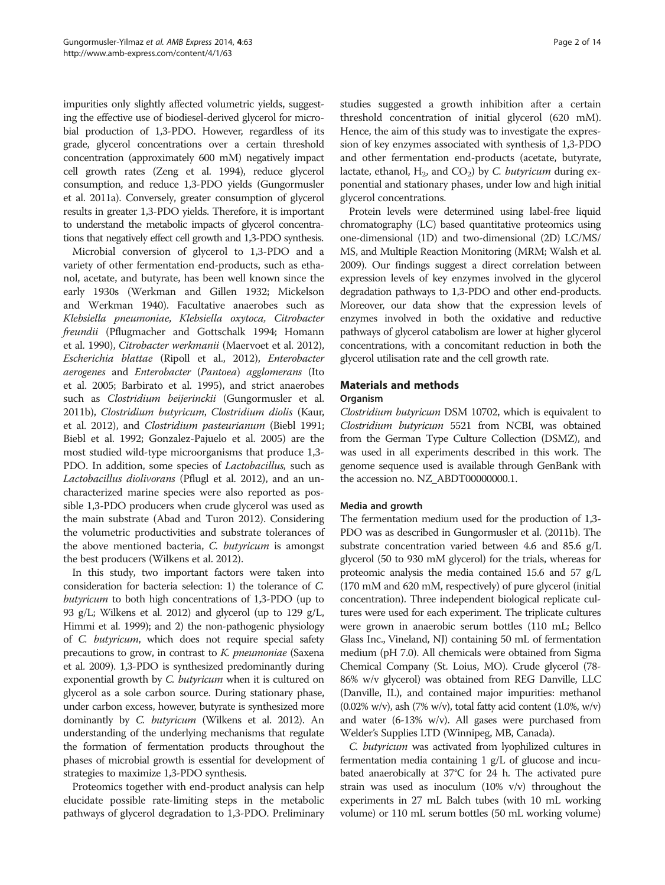impurities only slightly affected volumetric yields, suggesting the effective use of biodiesel-derived glycerol for microbial production of 1,3-PDO. However, regardless of its grade, glycerol concentrations over a certain threshold concentration (approximately 600 mM) negatively impact cell growth rates (Zeng et al. [1994\)](#page-13-0), reduce glycerol consumption, and reduce 1,3-PDO yields (Gungormusler et al. [2011a\)](#page-12-0). Conversely, greater consumption of glycerol results in greater 1,3-PDO yields. Therefore, it is important to understand the metabolic impacts of glycerol concentrations that negatively effect cell growth and 1,3-PDO synthesis.

Microbial conversion of glycerol to 1,3-PDO and a variety of other fermentation end-products, such as ethanol, acetate, and butyrate, has been well known since the early 1930s (Werkman and Gillen [1932](#page-13-0); Mickelson and Werkman [1940](#page-12-0)). Facultative anaerobes such as Klebsiella pneumoniae, Klebsiella oxytoca, Citrobacter freundii (Pflugmacher and Gottschalk [1994;](#page-12-0) Homann et al. [1990](#page-12-0)), Citrobacter werkmanii (Maervoet et al. [2012](#page-12-0)), Escherichia blattae (Ripoll et al., [2012](#page-12-0)), Enterobacter aerogenes and Enterobacter (Pantoea) agglomerans (Ito et al. [2005;](#page-12-0) Barbirato et al. [1995\)](#page-12-0), and strict anaerobes such as Clostridium beijerinckii (Gungormusler et al. [2011b](#page-12-0)), Clostridium butyricum, Clostridium diolis (Kaur, et al. [2012\)](#page-12-0), and Clostridium pasteurianum (Biebl [1991](#page-12-0); Biebl et al. [1992;](#page-12-0) Gonzalez-Pajuelo et al. [2005\)](#page-12-0) are the most studied wild-type microorganisms that produce 1,3- PDO. In addition, some species of *Lactobacillus*, such as Lactobacillus diolivorans (Pflugl et al. [2012\)](#page-12-0), and an uncharacterized marine species were also reported as possible 1,3-PDO producers when crude glycerol was used as the main substrate (Abad and Turon [2012\)](#page-12-0). Considering the volumetric productivities and substrate tolerances of the above mentioned bacteria, C. butyricum is amongst the best producers (Wilkens et al. [2012\)](#page-13-0).

In this study, two important factors were taken into consideration for bacteria selection: 1) the tolerance of C. butyricum to both high concentrations of 1,3-PDO (up to 93 g/L; Wilkens et al. [2012](#page-13-0)) and glycerol (up to 129 g/L, Himmi et al. [1999](#page-12-0)); and 2) the non-pathogenic physiology of C. butyricum, which does not require special safety precautions to grow, in contrast to K. pneumoniae (Saxena et al. [2009\)](#page-13-0). 1,3-PDO is synthesized predominantly during exponential growth by *C. butyricum* when it is cultured on glycerol as a sole carbon source. During stationary phase, under carbon excess, however, butyrate is synthesized more dominantly by C. butyricum (Wilkens et al. [2012\)](#page-13-0). An understanding of the underlying mechanisms that regulate the formation of fermentation products throughout the phases of microbial growth is essential for development of strategies to maximize 1,3-PDO synthesis.

Proteomics together with end-product analysis can help elucidate possible rate-limiting steps in the metabolic pathways of glycerol degradation to 1,3-PDO. Preliminary

studies suggested a growth inhibition after a certain threshold concentration of initial glycerol (620 mM). Hence, the aim of this study was to investigate the expression of key enzymes associated with synthesis of 1,3-PDO and other fermentation end-products (acetate, butyrate, lactate, ethanol,  $H_2$ , and  $CO_2$ ) by C. butyricum during exponential and stationary phases, under low and high initial glycerol concentrations.

Protein levels were determined using label-free liquid chromatography (LC) based quantitative proteomics using one-dimensional (1D) and two-dimensional (2D) LC/MS/ MS, and Multiple Reaction Monitoring (MRM; Walsh et al. [2009\)](#page-13-0). Our findings suggest a direct correlation between expression levels of key enzymes involved in the glycerol degradation pathways to 1,3-PDO and other end-products. Moreover, our data show that the expression levels of enzymes involved in both the oxidative and reductive pathways of glycerol catabolism are lower at higher glycerol concentrations, with a concomitant reduction in both the glycerol utilisation rate and the cell growth rate.

## Materials and methods

#### **Organism**

Clostridium butyricum DSM 10702, which is equivalent to Clostridium butyricum 5521 from NCBI, was obtained from the German Type Culture Collection (DSMZ), and was used in all experiments described in this work. The genome sequence used is available through GenBank with the accession no. NZ\_ABDT00000000.1.

## Media and growth

The fermentation medium used for the production of 1,3- PDO was as described in Gungormusler et al. [\(2011b\)](#page-12-0). The substrate concentration varied between 4.6 and 85.6 g/L glycerol (50 to 930 mM glycerol) for the trials, whereas for proteomic analysis the media contained 15.6 and 57 g/L (170 mM and 620 mM, respectively) of pure glycerol (initial concentration). Three independent biological replicate cultures were used for each experiment. The triplicate cultures were grown in anaerobic serum bottles (110 mL; Bellco Glass Inc., Vineland, NJ) containing 50 mL of fermentation medium (pH 7.0). All chemicals were obtained from Sigma Chemical Company (St. Loius, MO). Crude glycerol (78- 86% w/v glycerol) was obtained from REG Danville, LLC (Danville, IL), and contained major impurities: methanol  $(0.02\% \text{ w/v})$ , ash  $(7\% \text{ w/v})$ , total fatty acid content  $(1.0\%, \text{ w/v})$ and water (6-13% w/v). All gases were purchased from Welder's Supplies LTD (Winnipeg, MB, Canada).

C. butyricum was activated from lyophilized cultures in fermentation media containing 1 g/L of glucose and incubated anaerobically at 37°C for 24 h. The activated pure strain was used as inoculum (10% v/v) throughout the experiments in 27 mL Balch tubes (with 10 mL working volume) or 110 mL serum bottles (50 mL working volume)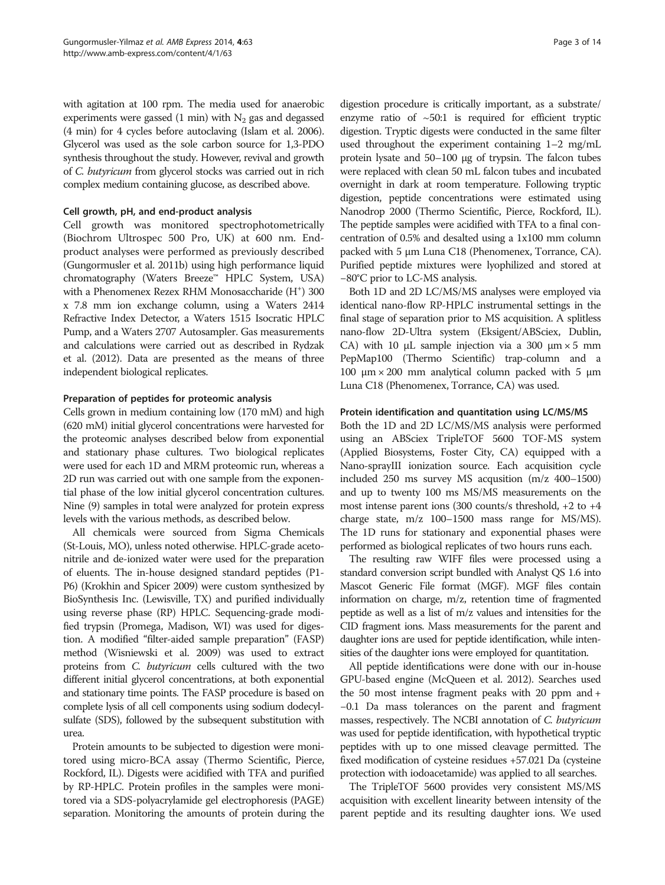with agitation at 100 rpm. The media used for anaerobic experiments were gassed (1 min) with  $N_2$  gas and degassed (4 min) for 4 cycles before autoclaving (Islam et al. [2006](#page-12-0)). Glycerol was used as the sole carbon source for 1,3-PDO synthesis throughout the study. However, revival and growth of C. butyricum from glycerol stocks was carried out in rich complex medium containing glucose, as described above.

## Cell growth, pH, and end-product analysis

Cell growth was monitored spectrophotometrically (Biochrom Ultrospec 500 Pro, UK) at 600 nm. Endproduct analyses were performed as previously described (Gungormusler et al. [2011b](#page-12-0)) using high performance liquid chromatography (Waters Breeze™ HPLC System, USA) with a Phenomenex Rezex RHM Monosaccharide (H<sup>+</sup>) 300 x 7.8 mm ion exchange column, using a Waters 2414 Refractive Index Detector, a Waters 1515 Isocratic HPLC Pump, and a Waters 2707 Autosampler. Gas measurements and calculations were carried out as described in Rydzak et al. [\(2012](#page-13-0)). Data are presented as the means of three independent biological replicates.

## Preparation of peptides for proteomic analysis

Cells grown in medium containing low (170 mM) and high (620 mM) initial glycerol concentrations were harvested for the proteomic analyses described below from exponential and stationary phase cultures. Two biological replicates were used for each 1D and MRM proteomic run, whereas a 2D run was carried out with one sample from the exponential phase of the low initial glycerol concentration cultures. Nine (9) samples in total were analyzed for protein express levels with the various methods, as described below.

All chemicals were sourced from Sigma Chemicals (St-Louis, MO), unless noted otherwise. HPLC-grade acetonitrile and de-ionized water were used for the preparation of eluents. The in-house designed standard peptides (P1- P6) (Krokhin and Spicer [2009](#page-12-0)) were custom synthesized by BioSynthesis Inc. (Lewisville, TX) and purified individually using reverse phase (RP) HPLC. Sequencing-grade modified trypsin (Promega, Madison, WI) was used for digestion. A modified "filter-aided sample preparation" (FASP) method (Wisniewski et al. [2009\)](#page-13-0) was used to extract proteins from C. butyricum cells cultured with the two different initial glycerol concentrations, at both exponential and stationary time points. The FASP procedure is based on complete lysis of all cell components using sodium dodecylsulfate (SDS), followed by the subsequent substitution with urea.

Protein amounts to be subjected to digestion were monitored using micro-BCA assay (Thermo Scientific, Pierce, Rockford, IL). Digests were acidified with TFA and purified by RP-HPLC. Protein profiles in the samples were monitored via a SDS-polyacrylamide gel electrophoresis (PAGE) separation. Monitoring the amounts of protein during the digestion procedure is critically important, as a substrate/ enzyme ratio of  $\sim$  50:1 is required for efficient tryptic digestion. Tryptic digests were conducted in the same filter used throughout the experiment containing 1–2 mg/mL protein lysate and 50–100 μg of trypsin. The falcon tubes were replaced with clean 50 mL falcon tubes and incubated overnight in dark at room temperature. Following tryptic digestion, peptide concentrations were estimated using Nanodrop 2000 (Thermo Scientific, Pierce, Rockford, IL). The peptide samples were acidified with TFA to a final concentration of 0.5% and desalted using a 1x100 mm column packed with 5 μm Luna C18 (Phenomenex, Torrance, CA). Purified peptide mixtures were lyophilized and stored at −80°C prior to LC-MS analysis.

Both 1D and 2D LC/MS/MS analyses were employed via identical nano-flow RP-HPLC instrumental settings in the final stage of separation prior to MS acquisition. A splitless nano-flow 2D-Ultra system (Eksigent/ABSciex, Dublin, CA) with 10  $\mu$ L sample injection via a 300  $\mu$ m × 5 mm PepMap100 (Thermo Scientific) trap-column and a 100 μm  $\times$  200 mm analytical column packed with 5 μm Luna C18 (Phenomenex, Torrance, CA) was used.

#### Protein identification and quantitation using LC/MS/MS

Both the 1D and 2D LC/MS/MS analysis were performed using an ABSciex TripleTOF 5600 TOF-MS system (Applied Biosystems, Foster City, CA) equipped with a Nano-sprayIII ionization source. Each acquisition cycle included 250 ms survey MS acqusition (m/z 400–1500) and up to twenty 100 ms MS/MS measurements on the most intense parent ions (300 counts/s threshold, +2 to +4 charge state, m/z 100–1500 mass range for MS/MS). The 1D runs for stationary and exponential phases were performed as biological replicates of two hours runs each.

The resulting raw WIFF files were processed using a standard conversion script bundled with Analyst QS 1.6 into Mascot Generic File format (MGF). MGF files contain information on charge, m/z, retention time of fragmented peptide as well as a list of m/z values and intensities for the CID fragment ions. Mass measurements for the parent and daughter ions are used for peptide identification, while intensities of the daughter ions were employed for quantitation.

All peptide identifications were done with our in-house GPU-based engine (McQueen et al. [2012](#page-12-0)). Searches used the 50 most intense fragment peaks with 20 ppm and + −0.1 Da mass tolerances on the parent and fragment masses, respectively. The NCBI annotation of C. butyricum was used for peptide identification, with hypothetical tryptic peptides with up to one missed cleavage permitted. The fixed modification of cysteine residues +57.021 Da (cysteine protection with iodoacetamide) was applied to all searches.

The TripleTOF 5600 provides very consistent MS/MS acquisition with excellent linearity between intensity of the parent peptide and its resulting daughter ions. We used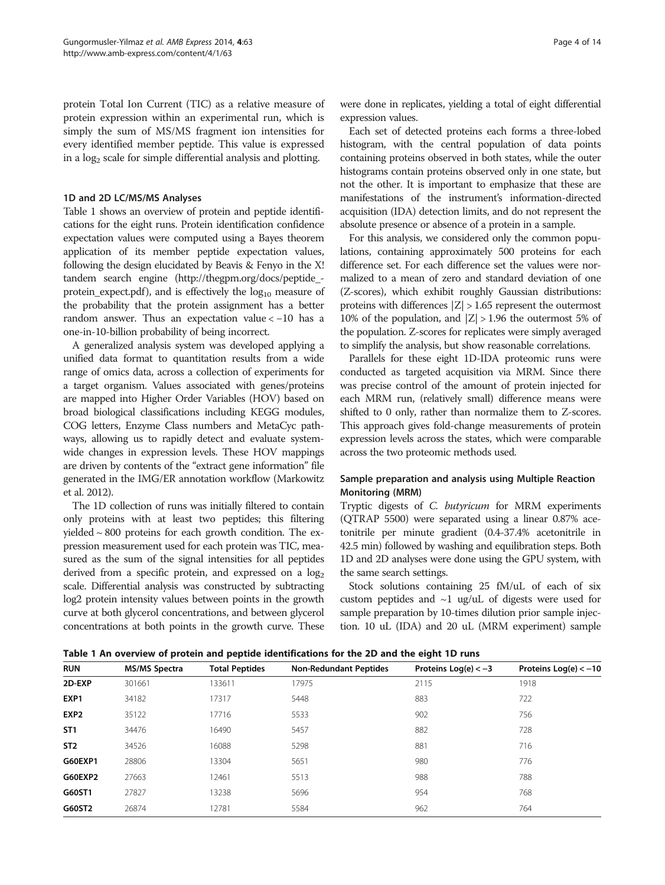<span id="page-3-0"></span>protein Total Ion Current (TIC) as a relative measure of protein expression within an experimental run, which is simply the sum of MS/MS fragment ion intensities for every identified member peptide. This value is expressed in a  $log<sub>2</sub>$  scale for simple differential analysis and plotting.

## 1D and 2D LC/MS/MS Analyses

Table 1 shows an overview of protein and peptide identifications for the eight runs. Protein identification confidence expectation values were computed using a Bayes theorem application of its member peptide expectation values, following the design elucidated by Beavis & Fenyo in the X! tandem search engine [\(http://thegpm.org/docs/peptide\\_](http://thegpm.org/docs/peptide_protein_expect.pdf) protein expect.pdf), and is effectively the  $log_{10}$  measure of the probability that the protein assignment has a better random answer. Thus an expectation value < −10 has a one-in-10-billion probability of being incorrect.

A generalized analysis system was developed applying a unified data format to quantitation results from a wide range of omics data, across a collection of experiments for a target organism. Values associated with genes/proteins are mapped into Higher Order Variables (HOV) based on broad biological classifications including KEGG modules, COG letters, Enzyme Class numbers and MetaCyc pathways, allowing us to rapidly detect and evaluate systemwide changes in expression levels. These HOV mappings are driven by contents of the "extract gene information" file generated in the IMG/ER annotation workflow (Markowitz et al. [2012\)](#page-12-0).

The 1D collection of runs was initially filtered to contain only proteins with at least two peptides; this filtering yielded ~ 800 proteins for each growth condition. The expression measurement used for each protein was TIC, measured as the sum of the signal intensities for all peptides derived from a specific protein, and expressed on a  $log<sub>2</sub>$ scale. Differential analysis was constructed by subtracting log2 protein intensity values between points in the growth curve at both glycerol concentrations, and between glycerol concentrations at both points in the growth curve. These

were done in replicates, yielding a total of eight differential expression values.

Each set of detected proteins each forms a three-lobed histogram, with the central population of data points containing proteins observed in both states, while the outer histograms contain proteins observed only in one state, but not the other. It is important to emphasize that these are manifestations of the instrument's information-directed acquisition (IDA) detection limits, and do not represent the absolute presence or absence of a protein in a sample.

For this analysis, we considered only the common populations, containing approximately 500 proteins for each difference set. For each difference set the values were normalized to a mean of zero and standard deviation of one (Z-scores), which exhibit roughly Gaussian distributions: proteins with differences  $|Z| > 1.65$  represent the outermost 10% of the population, and  $|Z| > 1.96$  the outermost 5% of the population. Z-scores for replicates were simply averaged to simplify the analysis, but show reasonable correlations.

Parallels for these eight 1D-IDA proteomic runs were conducted as targeted acquisition via MRM. Since there was precise control of the amount of protein injected for each MRM run, (relatively small) difference means were shifted to 0 only, rather than normalize them to Z-scores. This approach gives fold-change measurements of protein expression levels across the states, which were comparable across the two proteomic methods used.

## Sample preparation and analysis using Multiple Reaction Monitoring (MRM)

Tryptic digests of C. butyricum for MRM experiments (QTRAP 5500) were separated using a linear 0.87% acetonitrile per minute gradient (0.4-37.4% acetonitrile in 42.5 min) followed by washing and equilibration steps. Both 1D and 2D analyses were done using the GPU system, with the same search settings.

Stock solutions containing 25 fM/uL of each of six custom peptides and ~1 ug/uL of digests were used for sample preparation by 10-times dilution prior sample injection. 10 uL (IDA) and 20 uL (MRM experiment) sample

Table 1 An overview of protein and peptide identifications for the 2D and the eight 1D runs

| <b>RUN</b>       | <b>MS/MS Spectra</b> | <b>Total Peptides</b> | <b>Non-Redundant Peptides</b> | Proteins $Log(e) < -3$ | Proteins $Log(e) < -10$ |  |  |
|------------------|----------------------|-----------------------|-------------------------------|------------------------|-------------------------|--|--|
| 2D-EXP           | 301661               | 133611                | 17975                         | 2115                   | 1918                    |  |  |
| EXP1             | 34182                | 17317                 | 5448                          | 883                    | 722                     |  |  |
| EXP <sub>2</sub> | 35122                | 17716                 | 5533                          | 902                    | 756                     |  |  |
| ST <sub>1</sub>  | 34476                | 16490                 | 5457                          | 882                    | 728                     |  |  |
| ST <sub>2</sub>  | 34526                | 16088                 | 5298                          | 881                    | 716                     |  |  |
| G60EXP1          | 28806                | 13304                 | 5651                          | 980                    | 776                     |  |  |
| G60EXP2          | 27663                | 12461                 | 5513                          | 988                    | 788                     |  |  |
| G60ST1           | 27827                | 13238                 | 5696                          | 954                    | 768                     |  |  |
| G60ST2           | 26874                | 12781                 | 5584                          | 962                    | 764                     |  |  |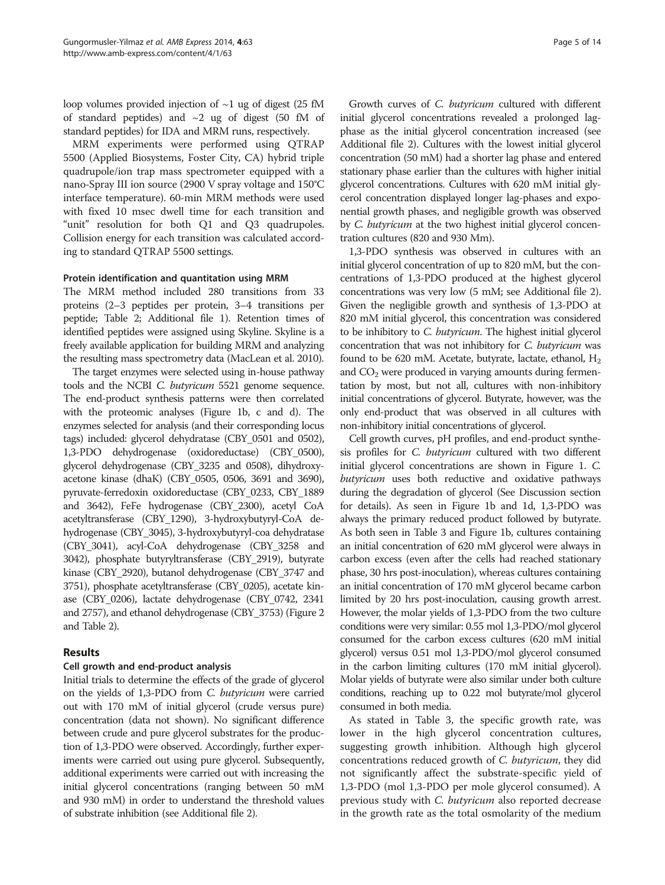loop volumes provided injection of  $\sim$ 1 ug of digest (25 fM of standard peptides) and  $\sim$ 2 ug of digest (50 fM of standard peptides) for IDA and MRM runs, respectively.

MRM experiments were performed using QTRAP 5500 (Applied Biosystems, Foster City, CA) hybrid triple quadrupole/ion trap mass spectrometer equipped with a nano-Spray III ion source (2900 V spray voltage and 150°C interface temperature). 60-min MRM methods were used with fixed 10 msec dwell time for each transition and "unit" resolution for both Q1 and Q3 quadrupoles. Collision energy for each transition was calculated according to standard QTRAP 5500 settings.

## Protein identification and quantitation using MRM

The MRM method included 280 transitions from 33 proteins (2–3 peptides per protein, 3–4 transitions per peptide; Table [2;](#page-5-0) Additional file [1\)](#page-11-0). Retention times of identified peptides were assigned using Skyline. Skyline is a freely available application for building MRM and analyzing the resulting mass spectrometry data (MacLean et al. [2010](#page-12-0)).

The target enzymes were selected using in-house pathway tools and the NCBI C. butyricum 5521 genome sequence. The end-product synthesis patterns were then correlated with the proteomic analyses (Figure [1b](#page-6-0), c and d). The enzymes selected for analysis (and their corresponding locus tags) included: glycerol dehydratase (CBY\_0501 and 0502), 1,3-PDO dehydrogenase (oxidoreductase) (CBY\_0500), glycerol dehydrogenase (CBY\_3235 and 0508), dihydroxyacetone kinase (dhaK) (CBY\_0505, 0506, 3691 and 3690), pyruvate-ferredoxin oxidoreductase (CBY\_0233, CBY\_1889 and 3642), FeFe hydrogenase (CBY\_2300), acetyl CoA acetyltransferase (CBY\_1290), 3-hydroxybutyryl-CoA dehydrogenase (CBY\_3045), 3-hydroxybutyryl-coa dehydratase (CBY\_3041), acyl-CoA dehydrogenase (CBY\_3258 and 3042), phosphate butyryltransferase (CBY\_2919), butyrate kinase (CBY\_2920), butanol dehydrogenase (CBY\_3747 and 3751), phosphate acetyltransferase (CBY\_0205), acetate kinase (CBY\_0206), lactate dehydrogenase (CBY\_0742, 2341 and 2757), and ethanol dehydrogenase (CBY\_3753) (Figure [2](#page-6-0) and Table [2\)](#page-5-0).

## Results

## Cell growth and end-product analysis

Initial trials to determine the effects of the grade of glycerol on the yields of 1,3-PDO from C. butyricum were carried out with 170 mM of initial glycerol (crude versus pure) concentration (data not shown). No significant difference between crude and pure glycerol substrates for the production of 1,3-PDO were observed. Accordingly, further experiments were carried out using pure glycerol. Subsequently, additional experiments were carried out with increasing the initial glycerol concentrations (ranging between 50 mM and 930 mM) in order to understand the threshold values of substrate inhibition (see Additional file [2\)](#page-11-0).

Growth curves of C. butyricum cultured with different initial glycerol concentrations revealed a prolonged lagphase as the initial glycerol concentration increased (see Additional file [2](#page-11-0)). Cultures with the lowest initial glycerol concentration (50 mM) had a shorter lag phase and entered stationary phase earlier than the cultures with higher initial glycerol concentrations. Cultures with 620 mM initial glycerol concentration displayed longer lag-phases and exponential growth phases, and negligible growth was observed by C. butyricum at the two highest initial glycerol concentration cultures (820 and 930 Mm).

1,3-PDO synthesis was observed in cultures with an initial glycerol concentration of up to 820 mM, but the concentrations of 1,3-PDO produced at the highest glycerol concentrations was very low (5 mM; see Additional file [2](#page-11-0)). Given the negligible growth and synthesis of 1,3-PDO at 820 mM initial glycerol, this concentration was considered to be inhibitory to C. butyricum. The highest initial glycerol concentration that was not inhibitory for C. butyricum was found to be 620 mM. Acetate, butyrate, lactate, ethanol,  $H_2$ and  $CO<sub>2</sub>$  were produced in varying amounts during fermentation by most, but not all, cultures with non-inhibitory initial concentrations of glycerol. Butyrate, however, was the only end-product that was observed in all cultures with non-inhibitory initial concentrations of glycerol.

Cell growth curves, pH profiles, and end-product synthesis profiles for C. butyricum cultured with two different initial glycerol concentrations are shown in Figure [1](#page-6-0). C. butyricum uses both reductive and oxidative pathways during the degradation of glycerol (See [Discussion](#page-8-0) section for details). As seen in Figure [1b](#page-6-0) and [1d](#page-6-0), 1,3-PDO was always the primary reduced product followed by butyrate. As both seen in Table [3](#page-7-0) and Figure [1b](#page-6-0), cultures containing an initial concentration of 620 mM glycerol were always in carbon excess (even after the cells had reached stationary phase, 30 hrs post-inoculation), whereas cultures containing an initial concentration of 170 mM glycerol became carbon limited by 20 hrs post-inoculation, causing growth arrest. However, the molar yields of 1,3-PDO from the two culture conditions were very similar: 0.55 mol 1,3-PDO/mol glycerol consumed for the carbon excess cultures (620 mM initial glycerol) versus 0.51 mol 1,3-PDO/mol glycerol consumed in the carbon limiting cultures (170 mM initial glycerol). Molar yields of butyrate were also similar under both culture conditions, reaching up to 0.22 mol butyrate/mol glycerol consumed in both media.

As stated in Table [3](#page-7-0), the specific growth rate, was lower in the high glycerol concentration cultures, suggesting growth inhibition. Although high glycerol concentrations reduced growth of C. butyricum, they did not significantly affect the substrate-specific yield of 1,3-PDO (mol 1,3-PDO per mole glycerol consumed). A previous study with C. butyricum also reported decrease in the growth rate as the total osmolarity of the medium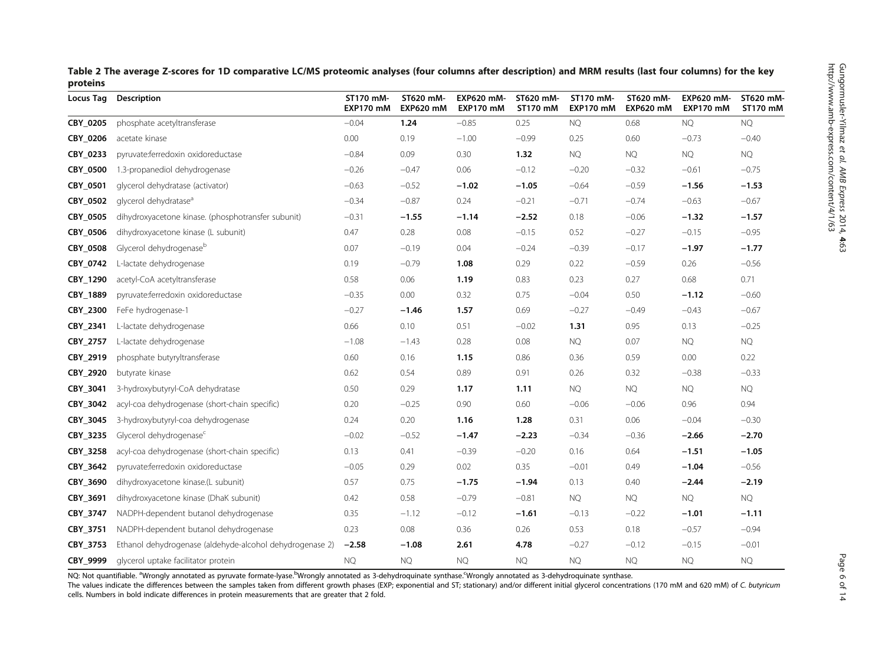<span id="page-5-0"></span>

| Table 2 The average Z-scores for 1D comparative LC/MS proteomic analyses (four columns after description) and MRM results (last four columns) for the key |  |
|-----------------------------------------------------------------------------------------------------------------------------------------------------------|--|
| proteins                                                                                                                                                  |  |

| <b>Locus Tag</b> | Description                                              | ST170 mM-<br><b>EXP170 mM</b> | ST620 mM-<br><b>EXP620 mM</b> | EXP620 mM-<br><b>EXP170 mM</b> | ST620 mM-<br>ST170 mM | ST170 mM-<br><b>EXP170 mM</b> | ST620 mM-<br><b>EXP620 mM</b> | <b>EXP620 mM-</b><br>EXP170 mM | ST620 mM-<br>ST170 mM |
|------------------|----------------------------------------------------------|-------------------------------|-------------------------------|--------------------------------|-----------------------|-------------------------------|-------------------------------|--------------------------------|-----------------------|
| <b>CBY 0205</b>  | phosphate acetyltransferase                              | $-0.04$                       | 1.24                          | $-0.85$                        | 0.25                  | <b>NQ</b>                     | 0.68                          | <b>NQ</b>                      | <b>NQ</b>             |
| CBY 0206         | acetate kinase                                           | 0.00                          | 0.19                          | $-1.00$                        | $-0.99$               | 0.25                          | 0.60                          | $-0.73$                        | $-0.40$               |
| CBY_0233         | pyruvate:ferredoxin oxidoreductase                       | $-0.84$                       | 0.09                          | 0.30                           | 1.32                  | <b>NQ</b>                     | <b>NQ</b>                     | <b>NQ</b>                      | <b>NQ</b>             |
| CBY_0500         | 1.3-propanediol dehydrogenase                            | $-0.26$                       | $-0.47$                       | 0.06                           | $-0.12$               | $-0.20$                       | $-0.32$                       | $-0.61$                        | $-0.75$               |
| CBY_0501         | glycerol dehydratase (activator)                         | $-0.63$                       | $-0.52$                       | $-1.02$                        | $-1.05$               | $-0.64$                       | $-0.59$                       | $-1.56$                        | $-1.53$               |
| CBY 0502         | glycerol dehydratase <sup>a</sup>                        | $-0.34$                       | $-0.87$                       | 0.24                           | $-0.21$               | $-0.71$                       | $-0.74$                       | $-0.63$                        | $-0.67$               |
| CBY_0505         | dihydroxyacetone kinase. (phosphotransfer subunit)       | $-0.31$                       | $-1.55$                       | $-1.14$                        | $-2.52$               | 0.18                          | $-0.06$                       | $-1.32$                        | $-1.57$               |
| CBY_0506         | dihydroxyacetone kinase (L subunit)                      | 0.47                          | 0.28                          | 0.08                           | $-0.15$               | 0.52                          | $-0.27$                       | $-0.15$                        | $-0.95$               |
| CBY_0508         | Glycerol dehydrogenaseb                                  | 0.07                          | $-0.19$                       | 0.04                           | $-0.24$               | $-0.39$                       | $-0.17$                       | $-1.97$                        | $-1.77$               |
| CBY 0742         | L-lactate dehydrogenase                                  | 0.19                          | $-0.79$                       | 1.08                           | 0.29                  | 0.22                          | $-0.59$                       | 0.26                           | $-0.56$               |
| CBY_1290         | acetyl-CoA acetyltransferase                             | 0.58                          | 0.06                          | 1.19                           | 0.83                  | 0.23                          | 0.27                          | 0.68                           | 0.71                  |
| CBY_1889         | pyruvate:ferredoxin oxidoreductase                       | $-0.35$                       | 0.00                          | 0.32                           | 0.75                  | $-0.04$                       | 0.50                          | $-1.12$                        | $-0.60$               |
| CBY 2300         | FeFe hydrogenase-1                                       | $-0.27$                       | $-1.46$                       | 1.57                           | 0.69                  | $-0.27$                       | $-0.49$                       | $-0.43$                        | $-0.67$               |
| CBY_2341         | L-lactate dehydrogenase                                  | 0.66                          | 0.10                          | 0.51                           | $-0.02$               | 1.31                          | 0.95                          | 0.13                           | $-0.25$               |
| CBY_2757         | L-lactate dehydrogenase                                  | $-1.08$                       | $-1.43$                       | 0.28                           | 0.08                  | <b>NQ</b>                     | 0.07                          | <b>NQ</b>                      | <b>NQ</b>             |
| CBY_2919         | phosphate butyryltransferase                             | 0.60                          | 0.16                          | 1.15                           | 0.86                  | 0.36                          | 0.59                          | 0.00                           | 0.22                  |
| CBY_2920         | butyrate kinase                                          | 0.62                          | 0.54                          | 0.89                           | 0.91                  | 0.26                          | 0.32                          | $-0.38$                        | $-0.33$               |
| CBY_3041         | 3-hydroxybutyryl-CoA dehydratase                         | 0.50                          | 0.29                          | 1.17                           | 1.11                  | <b>NQ</b>                     | <b>NQ</b>                     | <b>NQ</b>                      | <b>NQ</b>             |
| CBY_3042         | acyl-coa dehydrogenase (short-chain specific)            | 0.20                          | $-0.25$                       | 0.90                           | 0.60                  | $-0.06$                       | $-0.06$                       | 0.96                           | 0.94                  |
| CBY_3045         | 3-hydroxybutyryl-coa dehydrogenase                       | 0.24                          | 0.20                          | 1.16                           | 1.28                  | 0.31                          | 0.06                          | $-0.04$                        | $-0.30$               |
| CBY_3235         | Glycerol dehydrogenase <sup>c</sup>                      | $-0.02$                       | $-0.52$                       | $-1.47$                        | $-2.23$               | $-0.34$                       | $-0.36$                       | $-2.66$                        | $-2.70$               |
| CBY_3258         | acyl-coa dehydrogenase (short-chain specific)            | 0.13                          | 0.41                          | $-0.39$                        | $-0.20$               | 0.16                          | 0.64                          | $-1.51$                        | $-1.05$               |
| CBY_3642         | pyruvate:ferredoxin oxidoreductase                       | $-0.05$                       | 0.29                          | 0.02                           | 0.35                  | $-0.01$                       | 0.49                          | $-1.04$                        | $-0.56$               |
| CBY_3690         | dihydroxyacetone kinase.(L subunit)                      | 0.57                          | 0.75                          | $-1.75$                        | $-1.94$               | 0.13                          | 0.40                          | $-2.44$                        | $-2.19$               |
| CBY_3691         | dihydroxyacetone kinase (DhaK subunit)                   | 0.42                          | 0.58                          | $-0.79$                        | $-0.81$               | <b>NQ</b>                     | <b>NQ</b>                     | <b>NQ</b>                      | <b>NQ</b>             |
| CBY_3747         | NADPH-dependent butanol dehydrogenase                    | 0.35                          | $-1.12$                       | $-0.12$                        | $-1.61$               | $-0.13$                       | $-0.22$                       | $-1.01$                        | $-1.11$               |
| CBY 3751         | NADPH-dependent butanol dehydrogenase                    | 0.23                          | 0.08                          | 0.36                           | 0.26                  | 0.53                          | 0.18                          | $-0.57$                        | $-0.94$               |
| CBY 3753         | Ethanol dehydrogenase (aldehyde-alcohol dehydrogenase 2) | $-2.58$                       | $-1.08$                       | 2.61                           | 4.78                  | $-0.27$                       | $-0.12$                       | $-0.15$                        | $-0.01$               |
| CBY 9999         | glycerol uptake facilitator protein                      | <b>NQ</b>                     | <b>NQ</b>                     | <b>NQ</b>                      | <b>NQ</b>             | <b>NQ</b>                     | <b>NQ</b>                     | <b>NQ</b>                      | <b>NQ</b>             |

NQ: Not quantifiable. <sup>a</sup>Wrongly annotated as pyruvate formate-lyase.<sup>b</sup>Wrongly annotated as 3-dehydroquinate synthase.<sup>c</sup>Wrongly annotated as 3-dehydroquinate synthase.

The values indicate the differences between the samples taken from different growth phases (EXP; exponential and ST; stationary) and/or different initial glycerol concentrations (170 mM and 620 mM) of C. butyricum cells. Numbers in bold indicate differences in protein measurements that are greater that 2 fold.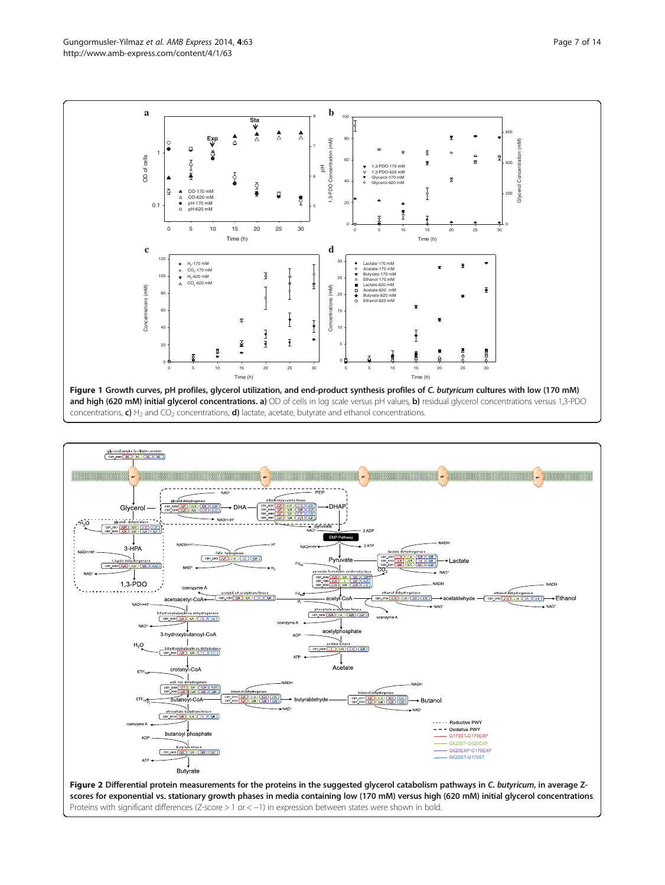<span id="page-6-0"></span>

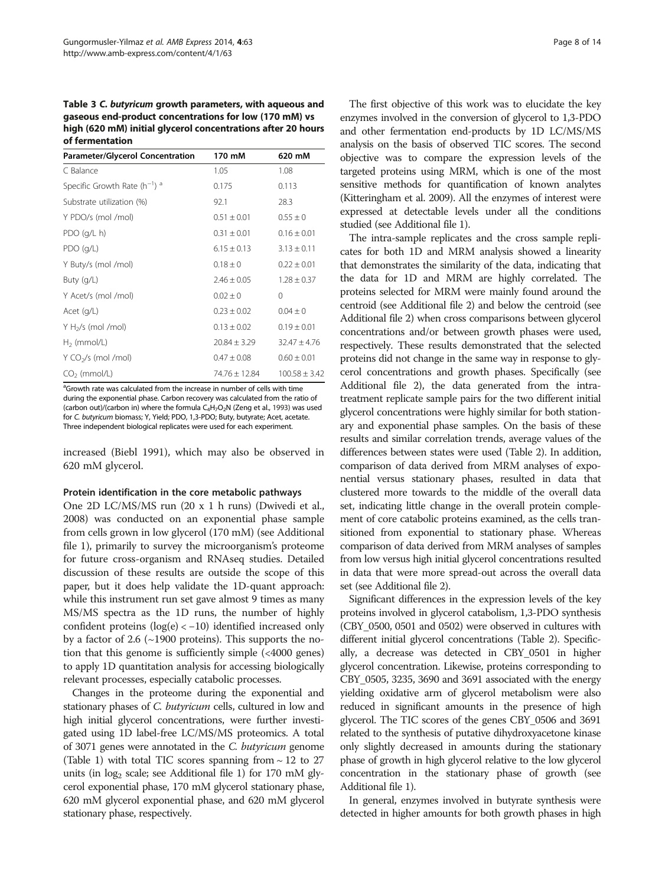<span id="page-7-0"></span>Table 3 C. butyricum growth parameters, with aqueous and gaseous end-product concentrations for low (170 mM) vs high (620 mM) initial glycerol concentrations after 20 hours of fermentation

| <b>Parameter/Glycerol Concentration</b>      | 170 mM            | 620 mM            |
|----------------------------------------------|-------------------|-------------------|
| C Balance                                    | 1.05              | 1.08              |
| Specific Growth Rate $(h^{-1})$ <sup>a</sup> | 0.175             | 0.113             |
| Substrate utilization (%)                    | 92.1              | 28.3              |
| Y PDO/s (mol /mol)                           | $0.51 \pm 0.01$   | $0.55 \pm 0$      |
| PDO(q/L h)                                   | $0.31 \pm 0.01$   | $0.16 \pm 0.01$   |
| PDO(q/L)                                     | $6.15 \pm 0.13$   | $3.13 \pm 0.11$   |
| Y Buty/s (mol /mol)                          | $0.18 \pm 0$      | $0.22 \pm 0.01$   |
| Buty $(q/L)$                                 | $2.46 + 0.05$     | $1.28 \pm 0.37$   |
| Y Acet/s (mol /mol)                          | $0.02 \pm 0$      | $\Omega$          |
| Acet $(q/L)$                                 | $0.23 \pm 0.02$   | $0.04 \pm 0$      |
| $Y H2/s$ (mol /mol)                          | $0.13 \pm 0.02$   | $0.19 \pm 0.01$   |
| $H2$ (mmol/L)                                | $20.84 \pm 3.29$  | $32.47 \pm 4.76$  |
| Y CO <sub>2</sub> /s (mol /mol)              | $0.47 \pm 0.08$   | $0.60 \pm 0.01$   |
| $CO2$ (mmol/L)                               | $74.76 \pm 12.84$ | $100.58 \pm 3.42$ |

<sup>a</sup>Growth rate was calculated from the increase in number of cells with time during the exponential phase. Carbon recovery was calculated from the ratio of (carbon out)/(carbon in) where the formula  $C_4H_7O_2N$  (Zeng et al., [1993](#page-13-0)) was used for C. butyricum biomass; Y, Yield; PDO, 1,3-PDO; Buty, butyrate; Acet, acetate. Three independent biological replicates were used for each experiment.

increased (Biebl [1991](#page-12-0)), which may also be observed in 620 mM glycerol.

#### Protein identification in the core metabolic pathways

One 2D LC/MS/MS run (20 x 1 h runs) (Dwivedi et al., [2008\)](#page-12-0) was conducted on an exponential phase sample from cells grown in low glycerol (170 mM) (see Additional file [1](#page-11-0)), primarily to survey the microorganism's proteome for future cross-organism and RNAseq studies. Detailed discussion of these results are outside the scope of this paper, but it does help validate the 1D-quant approach: while this instrument run set gave almost 9 times as many MS/MS spectra as the 1D runs, the number of highly confident proteins  $(log(e) < -10)$  identified increased only by a factor of 2.6 ( $\sim$ 1900 proteins). This supports the notion that this genome is sufficiently simple (<4000 genes) to apply 1D quantitation analysis for accessing biologically relevant processes, especially catabolic processes.

Changes in the proteome during the exponential and stationary phases of *C. butyricum* cells, cultured in low and high initial glycerol concentrations, were further investigated using 1D label-free LC/MS/MS proteomics. A total of 3071 genes were annotated in the C. butyricum genome (Table [1\)](#page-3-0) with total TIC scores spanning from  $\sim$  12 to 27 units (in  $log_2$  scale; see Additional file [1\)](#page-11-0) for 170 mM glycerol exponential phase, 170 mM glycerol stationary phase, 620 mM glycerol exponential phase, and 620 mM glycerol stationary phase, respectively.

The first objective of this work was to elucidate the key enzymes involved in the conversion of glycerol to 1,3-PDO and other fermentation end-products by 1D LC/MS/MS analysis on the basis of observed TIC scores. The second objective was to compare the expression levels of the targeted proteins using MRM, which is one of the most sensitive methods for quantification of known analytes (Kitteringham et al. [2009\)](#page-12-0). All the enzymes of interest were expressed at detectable levels under all the conditions studied (see Additional file [1](#page-11-0)).

The intra-sample replicates and the cross sample replicates for both 1D and MRM analysis showed a linearity that demonstrates the similarity of the data, indicating that the data for 1D and MRM are highly correlated. The proteins selected for MRM were mainly found around the centroid (see Additional file [2](#page-11-0)) and below the centroid (see Additional file [2\)](#page-11-0) when cross comparisons between glycerol concentrations and/or between growth phases were used, respectively. These results demonstrated that the selected proteins did not change in the same way in response to glycerol concentrations and growth phases. Specifically (see Additional file [2](#page-11-0)), the data generated from the intratreatment replicate sample pairs for the two different initial glycerol concentrations were highly similar for both stationary and exponential phase samples. On the basis of these results and similar correlation trends, average values of the differences between states were used (Table [2\)](#page-5-0). In addition, comparison of data derived from MRM analyses of exponential versus stationary phases, resulted in data that clustered more towards to the middle of the overall data set, indicating little change in the overall protein complement of core catabolic proteins examined, as the cells transitioned from exponential to stationary phase. Whereas comparison of data derived from MRM analyses of samples from low versus high initial glycerol concentrations resulted in data that were more spread-out across the overall data set (see Additional file [2\)](#page-11-0).

Significant differences in the expression levels of the key proteins involved in glycerol catabolism, 1,3-PDO synthesis (CBY\_0500, 0501 and 0502) were observed in cultures with different initial glycerol concentrations (Table [2](#page-5-0)). Specifically, a decrease was detected in CBY\_0501 in higher glycerol concentration. Likewise, proteins corresponding to CBY\_0505, 3235, 3690 and 3691 associated with the energy yielding oxidative arm of glycerol metabolism were also reduced in significant amounts in the presence of high glycerol. The TIC scores of the genes CBY\_0506 and 3691 related to the synthesis of putative dihydroxyacetone kinase only slightly decreased in amounts during the stationary phase of growth in high glycerol relative to the low glycerol concentration in the stationary phase of growth (see Additional file [1\)](#page-11-0).

In general, enzymes involved in butyrate synthesis were detected in higher amounts for both growth phases in high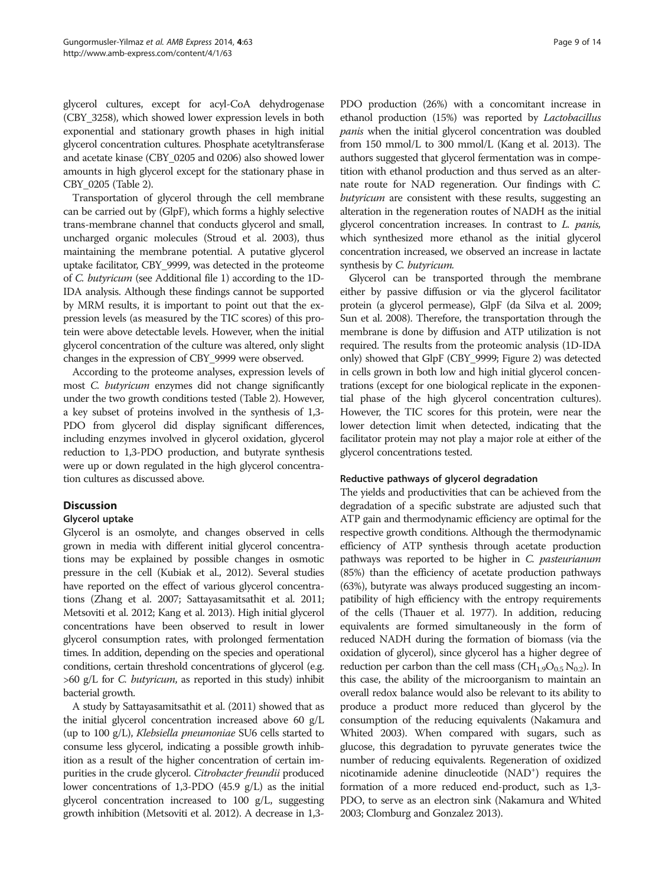<span id="page-8-0"></span>glycerol cultures, except for acyl-CoA dehydrogenase (CBY\_3258), which showed lower expression levels in both exponential and stationary growth phases in high initial glycerol concentration cultures. Phosphate acetyltransferase and acetate kinase (CBY\_0205 and 0206) also showed lower amounts in high glycerol except for the stationary phase in CBY\_0205 (Table [2](#page-5-0)).

Transportation of glycerol through the cell membrane can be carried out by (GlpF), which forms a highly selective trans-membrane channel that conducts glycerol and small, uncharged organic molecules (Stroud et al. [2003](#page-13-0)), thus maintaining the membrane potential. A putative glycerol uptake facilitator, CBY\_9999, was detected in the proteome of C. butyricum (see Additional file [1](#page-11-0)) according to the 1D-IDA analysis. Although these findings cannot be supported by MRM results, it is important to point out that the expression levels (as measured by the TIC scores) of this protein were above detectable levels. However, when the initial glycerol concentration of the culture was altered, only slight changes in the expression of CBY\_9999 were observed.

According to the proteome analyses, expression levels of most C. butyricum enzymes did not change significantly under the two growth conditions tested (Table [2](#page-5-0)). However, a key subset of proteins involved in the synthesis of 1,3- PDO from glycerol did display significant differences, including enzymes involved in glycerol oxidation, glycerol reduction to 1,3-PDO production, and butyrate synthesis were up or down regulated in the high glycerol concentration cultures as discussed above.

## Discussion

## Glycerol uptake

Glycerol is an osmolyte, and changes observed in cells grown in media with different initial glycerol concentrations may be explained by possible changes in osmotic pressure in the cell (Kubiak et al., [2012\)](#page-12-0). Several studies have reported on the effect of various glycerol concentrations (Zhang et al. [2007](#page-13-0); Sattayasamitsathit et al. [2011](#page-13-0); Metsoviti et al. [2012;](#page-12-0) Kang et al. [2013](#page-12-0)). High initial glycerol concentrations have been observed to result in lower glycerol consumption rates, with prolonged fermentation times. In addition, depending on the species and operational conditions, certain threshold concentrations of glycerol (e.g.  $>60$  g/L for C. butyricum, as reported in this study) inhibit bacterial growth.

A study by Sattayasamitsathit et al. [\(2011](#page-13-0)) showed that as the initial glycerol concentration increased above 60 g/L (up to 100 g/L), Klebsiella pneumoniae SU6 cells started to consume less glycerol, indicating a possible growth inhibition as a result of the higher concentration of certain impurities in the crude glycerol. Citrobacter freundii produced lower concentrations of 1,3-PDO (45.9 g/L) as the initial glycerol concentration increased to 100 g/L, suggesting growth inhibition (Metsoviti et al. [2012](#page-12-0)). A decrease in 1,3-

PDO production (26%) with a concomitant increase in ethanol production (15%) was reported by Lactobacillus panis when the initial glycerol concentration was doubled from 150 mmol/L to 300 mmol/L (Kang et al. [2013](#page-12-0)). The authors suggested that glycerol fermentation was in competition with ethanol production and thus served as an alternate route for NAD regeneration. Our findings with C. butyricum are consistent with these results, suggesting an alteration in the regeneration routes of NADH as the initial glycerol concentration increases. In contrast to L. panis, which synthesized more ethanol as the initial glycerol concentration increased, we observed an increase in lactate synthesis by C. butyricum.

Glycerol can be transported through the membrane either by passive diffusion or via the glycerol facilitator protein (a glycerol permease), GlpF (da Silva et al. [2009](#page-12-0); Sun et al. [2008\)](#page-13-0). Therefore, the transportation through the membrane is done by diffusion and ATP utilization is not required. The results from the proteomic analysis (1D-IDA only) showed that GlpF (CBY\_9999; Figure [2](#page-6-0)) was detected in cells grown in both low and high initial glycerol concentrations (except for one biological replicate in the exponential phase of the high glycerol concentration cultures). However, the TIC scores for this protein, were near the lower detection limit when detected, indicating that the facilitator protein may not play a major role at either of the glycerol concentrations tested.

#### Reductive pathways of glycerol degradation

The yields and productivities that can be achieved from the degradation of a specific substrate are adjusted such that ATP gain and thermodynamic efficiency are optimal for the respective growth conditions. Although the thermodynamic efficiency of ATP synthesis through acetate production pathways was reported to be higher in C. pasteurianum (85%) than the efficiency of acetate production pathways (63%), butyrate was always produced suggesting an incompatibility of high efficiency with the entropy requirements of the cells (Thauer et al. [1977](#page-13-0)). In addition, reducing equivalents are formed simultaneously in the form of reduced NADH during the formation of biomass (via the oxidation of glycerol), since glycerol has a higher degree of reduction per carbon than the cell mass  $(CH_{1.9}O_{0.5} N_{0.2})$ . In this case, the ability of the microorganism to maintain an overall redox balance would also be relevant to its ability to produce a product more reduced than glycerol by the consumption of the reducing equivalents (Nakamura and Whited [2003\)](#page-12-0). When compared with sugars, such as glucose, this degradation to pyruvate generates twice the number of reducing equivalents. Regeneration of oxidized nicotinamide adenine dinucleotide (NAD<sup>+</sup>) requires the formation of a more reduced end-product, such as 1,3- PDO, to serve as an electron sink (Nakamura and Whited [2003;](#page-12-0) Clomburg and Gonzalez [2013\)](#page-12-0).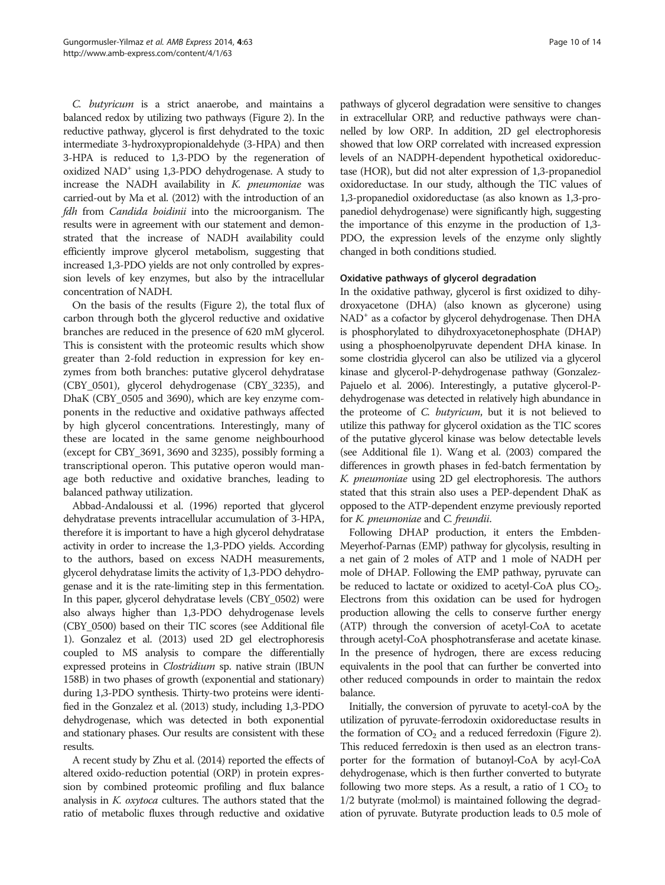C. butyricum is a strict anaerobe, and maintains a balanced redox by utilizing two pathways (Figure [2\)](#page-6-0). In the reductive pathway, glycerol is first dehydrated to the toxic intermediate 3-hydroxypropionaldehyde (3-HPA) and then 3-HPA is reduced to 1,3-PDO by the regeneration of oxidized  $NAD^+$  using 1,3-PDO dehydrogenase. A study to increase the NADH availability in  $K$ . *pneumoniae* was carried-out by Ma et al. [\(2012\)](#page-12-0) with the introduction of an fdh from Candida boidinii into the microorganism. The results were in agreement with our statement and demonstrated that the increase of NADH availability could efficiently improve glycerol metabolism, suggesting that increased 1,3-PDO yields are not only controlled by expression levels of key enzymes, but also by the intracellular concentration of NADH.

On the basis of the results (Figure [2](#page-6-0)), the total flux of carbon through both the glycerol reductive and oxidative branches are reduced in the presence of 620 mM glycerol. This is consistent with the proteomic results which show greater than 2-fold reduction in expression for key enzymes from both branches: putative glycerol dehydratase (CBY\_0501), glycerol dehydrogenase (CBY\_3235), and DhaK (CBY\_0505 and 3690), which are key enzyme components in the reductive and oxidative pathways affected by high glycerol concentrations. Interestingly, many of these are located in the same genome neighbourhood (except for CBY\_3691, 3690 and 3235), possibly forming a transcriptional operon. This putative operon would manage both reductive and oxidative branches, leading to balanced pathway utilization.

Abbad-Andaloussi et al. ([1996\)](#page-12-0) reported that glycerol dehydratase prevents intracellular accumulation of 3-HPA, therefore it is important to have a high glycerol dehydratase activity in order to increase the 1,3-PDO yields. According to the authors, based on excess NADH measurements, glycerol dehydratase limits the activity of 1,3-PDO dehydrogenase and it is the rate-limiting step in this fermentation. In this paper, glycerol dehydratase levels (CBY\_0502) were also always higher than 1,3-PDO dehydrogenase levels (CBY\_0500) based on their TIC scores (see Additional file [1](#page-11-0)). Gonzalez et al. [\(2013](#page-12-0)) used 2D gel electrophoresis coupled to MS analysis to compare the differentially expressed proteins in Clostridium sp. native strain (IBUN 158B) in two phases of growth (exponential and stationary) during 1,3-PDO synthesis. Thirty-two proteins were identified in the Gonzalez et al. [\(2013\)](#page-12-0) study, including 1,3-PDO dehydrogenase, which was detected in both exponential and stationary phases. Our results are consistent with these results.

A recent study by Zhu et al. ([2014\)](#page-13-0) reported the effects of altered oxido-reduction potential (ORP) in protein expression by combined proteomic profiling and flux balance analysis in K. oxytoca cultures. The authors stated that the ratio of metabolic fluxes through reductive and oxidative pathways of glycerol degradation were sensitive to changes in extracellular ORP, and reductive pathways were channelled by low ORP. In addition, 2D gel electrophoresis showed that low ORP correlated with increased expression levels of an NADPH-dependent hypothetical oxidoreductase (HOR), but did not alter expression of 1,3-propanediol oxidoreductase. In our study, although the TIC values of 1,3-propanediol oxidoreductase (as also known as 1,3-propanediol dehydrogenase) were significantly high, suggesting the importance of this enzyme in the production of 1,3- PDO, the expression levels of the enzyme only slightly changed in both conditions studied.

## Oxidative pathways of glycerol degradation

In the oxidative pathway, glycerol is first oxidized to dihydroxyacetone (DHA) (also known as glycerone) using NAD+ as a cofactor by glycerol dehydrogenase. Then DHA is phosphorylated to dihydroxyacetonephosphate (DHAP) using a phosphoenolpyruvate dependent DHA kinase. In some clostridia glycerol can also be utilized via a glycerol kinase and glycerol-P-dehydrogenase pathway (Gonzalez-Pajuelo et al. [2006\)](#page-12-0). Interestingly, a putative glycerol-Pdehydrogenase was detected in relatively high abundance in the proteome of C. butyricum, but it is not believed to utilize this pathway for glycerol oxidation as the TIC scores of the putative glycerol kinase was below detectable levels (see Additional file [1\)](#page-11-0). Wang et al. [\(2003\)](#page-13-0) compared the differences in growth phases in fed-batch fermentation by K. pneumoniae using 2D gel electrophoresis. The authors stated that this strain also uses a PEP-dependent DhaK as opposed to the ATP-dependent enzyme previously reported for K. pneumoniae and C. freundii.

Following DHAP production, it enters the Embden-Meyerhof-Parnas (EMP) pathway for glycolysis, resulting in a net gain of 2 moles of ATP and 1 mole of NADH per mole of DHAP. Following the EMP pathway, pyruvate can be reduced to lactate or oxidized to acetyl-CoA plus  $CO<sub>2</sub>$ . Electrons from this oxidation can be used for hydrogen production allowing the cells to conserve further energy (ATP) through the conversion of acetyl-CoA to acetate through acetyl-CoA phosphotransferase and acetate kinase. In the presence of hydrogen, there are excess reducing equivalents in the pool that can further be converted into other reduced compounds in order to maintain the redox balance.

Initially, the conversion of pyruvate to acetyl-coA by the utilization of pyruvate-ferrodoxin oxidoreductase results in the formation of  $CO<sub>2</sub>$  and a reduced ferredoxin (Figure [2](#page-6-0)). This reduced ferredoxin is then used as an electron transporter for the formation of butanoyl-CoA by acyl-CoA dehydrogenase, which is then further converted to butyrate following two more steps. As a result, a ratio of  $1 \text{ CO}_2$  to 1/2 butyrate (mol:mol) is maintained following the degradation of pyruvate. Butyrate production leads to 0.5 mole of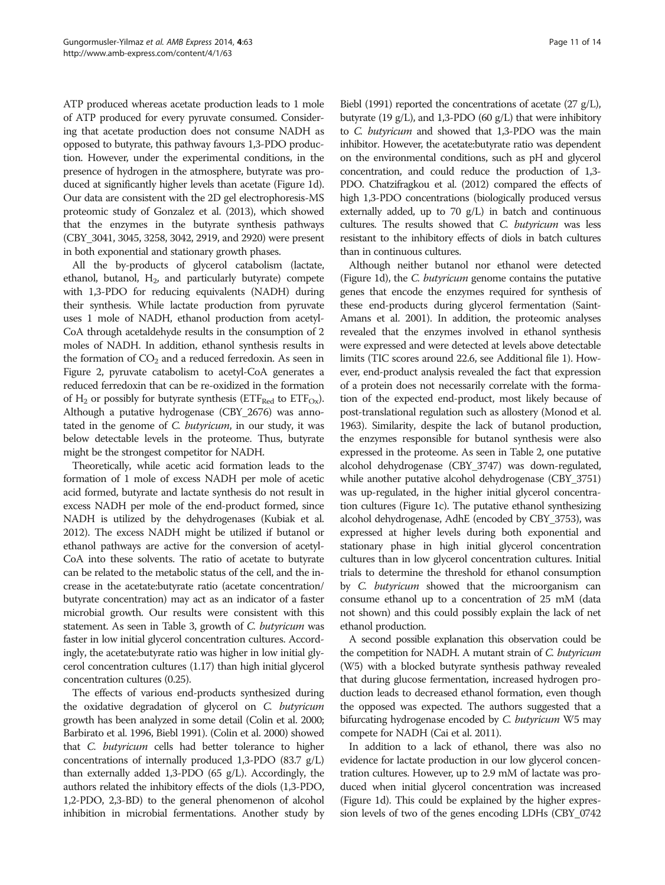ATP produced whereas acetate production leads to 1 mole of ATP produced for every pyruvate consumed. Considering that acetate production does not consume NADH as opposed to butyrate, this pathway favours 1,3-PDO production. However, under the experimental conditions, in the presence of hydrogen in the atmosphere, butyrate was produced at significantly higher levels than acetate (Figure [1](#page-6-0)d). Our data are consistent with the 2D gel electrophoresis-MS proteomic study of Gonzalez et al. [\(2013](#page-12-0)), which showed that the enzymes in the butyrate synthesis pathways (CBY\_3041, 3045, 3258, 3042, 2919, and 2920) were present in both exponential and stationary growth phases.

All the by-products of glycerol catabolism (lactate, ethanol, butanol,  $H<sub>2</sub>$ , and particularly butyrate) compete with 1,3-PDO for reducing equivalents (NADH) during their synthesis. While lactate production from pyruvate uses 1 mole of NADH, ethanol production from acetyl-CoA through acetaldehyde results in the consumption of 2 moles of NADH. In addition, ethanol synthesis results in the formation of  $CO<sub>2</sub>$  and a reduced ferredoxin. As seen in Figure [2,](#page-6-0) pyruvate catabolism to acetyl-CoA generates a reduced ferredoxin that can be re-oxidized in the formation of H<sub>2</sub> or possibly for butyrate synthesis ( $ETF_{Red}$  to  $ETF_{Ox}$ ). Although a putative hydrogenase (CBY\_2676) was annotated in the genome of C. butyricum, in our study, it was below detectable levels in the proteome. Thus, butyrate might be the strongest competitor for NADH.

Theoretically, while acetic acid formation leads to the formation of 1 mole of excess NADH per mole of acetic acid formed, butyrate and lactate synthesis do not result in excess NADH per mole of the end-product formed, since NADH is utilized by the dehydrogenases (Kubiak et al. [2012\)](#page-12-0). The excess NADH might be utilized if butanol or ethanol pathways are active for the conversion of acetyl-CoA into these solvents. The ratio of acetate to butyrate can be related to the metabolic status of the cell, and the increase in the acetate:butyrate ratio (acetate concentration/ butyrate concentration) may act as an indicator of a faster microbial growth. Our results were consistent with this statement. As seen in Table [3](#page-7-0), growth of *C. butyricum* was faster in low initial glycerol concentration cultures. Accordingly, the acetate:butyrate ratio was higher in low initial glycerol concentration cultures (1.17) than high initial glycerol concentration cultures (0.25).

The effects of various end-products synthesized during the oxidative degradation of glycerol on C. butyricum growth has been analyzed in some detail (Colin et al. [2000](#page-12-0); Barbirato et al. [1996](#page-12-0), Biebl [1991\)](#page-12-0). (Colin et al. [2000](#page-12-0)) showed that C. butyricum cells had better tolerance to higher concentrations of internally produced 1,3-PDO (83.7 g/L) than externally added 1,3-PDO (65 g/L). Accordingly, the authors related the inhibitory effects of the diols (1,3-PDO, 1,2-PDO, 2,3-BD) to the general phenomenon of alcohol inhibition in microbial fermentations. Another study by

Biebl [\(1991](#page-12-0)) reported the concentrations of acetate (27 g/L), butyrate (19  $g/L$ ), and 1,3-PDO (60  $g/L$ ) that were inhibitory to C. butyricum and showed that 1,3-PDO was the main inhibitor. However, the acetate:butyrate ratio was dependent on the environmental conditions, such as pH and glycerol concentration, and could reduce the production of 1,3- PDO. Chatzifragkou et al. [\(2012](#page-12-0)) compared the effects of high 1,3-PDO concentrations (biologically produced versus externally added, up to 70 g/L) in batch and continuous cultures. The results showed that C. butyricum was less resistant to the inhibitory effects of diols in batch cultures than in continuous cultures.

Although neither butanol nor ethanol were detected (Figure [1d](#page-6-0)), the C. butyricum genome contains the putative genes that encode the enzymes required for synthesis of these end-products during glycerol fermentation (Saint-Amans et al. [2001](#page-13-0)). In addition, the proteomic analyses revealed that the enzymes involved in ethanol synthesis were expressed and were detected at levels above detectable limits (TIC scores around 22.6, see Additional file [1](#page-11-0)). However, end-product analysis revealed the fact that expression of a protein does not necessarily correlate with the formation of the expected end-product, most likely because of post-translational regulation such as allostery (Monod et al. [1963\)](#page-12-0). Similarity, despite the lack of butanol production, the enzymes responsible for butanol synthesis were also expressed in the proteome. As seen in Table [2](#page-5-0), one putative alcohol dehydrogenase (CBY\_3747) was down-regulated, while another putative alcohol dehydrogenase (CBY\_3751) was up-regulated, in the higher initial glycerol concentration cultures (Figure [1](#page-6-0)c). The putative ethanol synthesizing alcohol dehydrogenase, AdhE (encoded by CBY\_3753), was expressed at higher levels during both exponential and stationary phase in high initial glycerol concentration cultures than in low glycerol concentration cultures. Initial trials to determine the threshold for ethanol consumption by C. butyricum showed that the microorganism can consume ethanol up to a concentration of 25 mM (data not shown) and this could possibly explain the lack of net ethanol production.

A second possible explanation this observation could be the competition for NADH. A mutant strain of *C. butyricum* (W5) with a blocked butyrate synthesis pathway revealed that during glucose fermentation, increased hydrogen production leads to decreased ethanol formation, even though the opposed was expected. The authors suggested that a bifurcating hydrogenase encoded by C. butyricum W5 may compete for NADH (Cai et al. [2011](#page-12-0)).

In addition to a lack of ethanol, there was also no evidence for lactate production in our low glycerol concentration cultures. However, up to 2.9 mM of lactate was produced when initial glycerol concentration was increased (Figure [1](#page-6-0)d). This could be explained by the higher expression levels of two of the genes encoding LDHs (CBY\_0742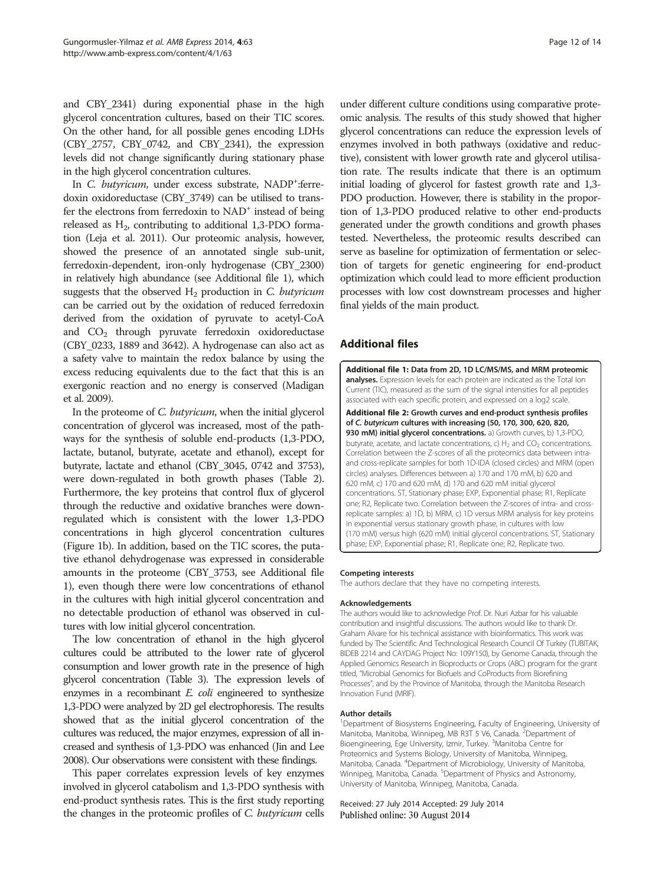<span id="page-11-0"></span>and CBY\_2341) during exponential phase in the high glycerol concentration cultures, based on their TIC scores. On the other hand, for all possible genes encoding LDHs (CBY\_2757, CBY\_0742, and CBY\_2341), the expression levels did not change significantly during stationary phase in the high glycerol concentration cultures.

In C. butyricum, under excess substrate, NADP+:ferredoxin oxidoreductase (CBY\_3749) can be utilised to transfer the electrons from ferredoxin to NAD<sup>+</sup> instead of being released as  $H_2$ , contributing to additional 1,3-PDO formation (Leja et al. [2011](#page-12-0)). Our proteomic analysis, however, showed the presence of an annotated single sub-unit, ferredoxin-dependent, iron-only hydrogenase (CBY\_2300) in relatively high abundance (see Additional file 1), which suggests that the observed  $H<sub>2</sub>$  production in C. butyricum can be carried out by the oxidation of reduced ferredoxin derived from the oxidation of pyruvate to acetyl-CoA and  $CO<sub>2</sub>$  through pyruvate ferredoxin oxidoreductase (CBY\_0233, 1889 and 3642). A hydrogenase can also act as a safety valve to maintain the redox balance by using the excess reducing equivalents due to the fact that this is an exergonic reaction and no energy is conserved (Madigan et al. [2009\)](#page-12-0).

In the proteome of C. butyricum, when the initial glycerol concentration of glycerol was increased, most of the pathways for the synthesis of soluble end-products (1,3-PDO, lactate, butanol, butyrate, acetate and ethanol), except for butyrate, lactate and ethanol (CBY\_3045, 0742 and 3753), were down-regulated in both growth phases (Table [2](#page-5-0)). Furthermore, the key proteins that control flux of glycerol through the reductive and oxidative branches were downregulated which is consistent with the lower 1,3-PDO concentrations in high glycerol concentration cultures (Figure [1](#page-6-0)b). In addition, based on the TIC scores, the putative ethanol dehydrogenase was expressed in considerable amounts in the proteome (CBY\_3753, see Additional file 1), even though there were low concentrations of ethanol in the cultures with high initial glycerol concentration and no detectable production of ethanol was observed in cultures with low initial glycerol concentration.

The low concentration of ethanol in the high glycerol cultures could be attributed to the lower rate of glycerol consumption and lower growth rate in the presence of high glycerol concentration (Table [3\)](#page-7-0). The expression levels of enzymes in a recombinant  $E$ . *coli* engineered to synthesize 1,3-PDO were analyzed by 2D gel electrophoresis. The results showed that as the initial glycerol concentration of the cultures was reduced, the major enzymes, expression of all increased and synthesis of 1,3-PDO was enhanced (Jin and Lee [2008\)](#page-12-0). Our observations were consistent with these findings.

This paper correlates expression levels of key enzymes involved in glycerol catabolism and 1,3-PDO synthesis with end-product synthesis rates. This is the first study reporting the changes in the proteomic profiles of C. butyricum cells under different culture conditions using comparative proteomic analysis. The results of this study showed that higher glycerol concentrations can reduce the expression levels of enzymes involved in both pathways (oxidative and reductive), consistent with lower growth rate and glycerol utilisation rate. The results indicate that there is an optimum initial loading of glycerol for fastest growth rate and 1,3- PDO production. However, there is stability in the proportion of 1,3-PDO produced relative to other end-products generated under the growth conditions and growth phases tested. Nevertheless, the proteomic results described can serve as baseline for optimization of fermentation or selection of targets for genetic engineering for end-product optimization which could lead to more efficient production processes with low cost downstream processes and higher final yields of the main product.

## Additional files

[Additional file 1:](http://www.amb-express.com/content/supplementary/s13568-014-0063-6-s1.xls) Data from 2D, 1D LC/MS/MS, and MRM proteomic analyses. Expression levels for each protein are indicated as the Total Ion Current (TIC), measured as the sum of the signal intensities for all peptides associated with each specific protein, and expressed on a log2 scale.

[Additional file 2:](http://www.amb-express.com/content/supplementary/s13568-014-0063-6-s2.doc) Growth curves and end-product synthesis profiles of C. butyricum cultures with increasing (50, 170, 300, 620, 820, 930 mM) initial glycerol concentrations. a) Growth curves, b) 1,3-PDO, butyrate, acetate, and lactate concentrations, c)  $H_2$  and  $CO_2$  concentrations. Correlation between the Z-scores of all the proteomics data between intraand cross-replicate samples for both 1D-IDA (closed circles) and MRM (open circles) analyses. Differences between a) 170 and 170 mM, b) 620 and 620 mM, c) 170 and 620 mM, d) 170 and 620 mM initial glycerol concentrations. ST, Stationary phase; EXP, Exponential phase; R1, Replicate one; R2, Replicate two. Correlation between the Z-scores of intra- and crossreplicate samples: a) 1D, b) MRM, c) 1D versus MRM analysis for key proteins in exponential versus stationary growth phase, in cultures with low (170 mM) versus high (620 mM) initial glycerol concentrations. ST, Stationary phase; EXP, Exponential phase; R1, Replicate one; R2, Replicate two.

#### Competing interests

The authors declare that they have no competing interests.

#### Acknowledgements

The authors would like to acknowledge Prof. Dr. Nuri Azbar for his valuable contribution and insightful discussions. The authors would like to thank Dr. Graham Alvare for his technical assistance with bioinformatics. This work was funded by The Scientific And Technological Research Council Of Turkey (TUBITAK, BIDEB 2214 and CAYDAG Project No: 109Y150), by Genome Canada, through the Applied Genomics Research in Bioproducts or Crops (ABC) program for the grant titled, "Microbial Genomics for Biofuels and CoProducts from Biorefining Processes", and by the Province of Manitoba, through the Manitoba Research Innovation Fund (MRIF).

#### Author details

<sup>1</sup>Department of Biosystems Engineering, Faculty of Engineering, University of Manitoba, Manitoba, Winnipeg, MB R3T 5 V6, Canada. <sup>2</sup>Department of Bioengineering, Ege University, Izmir, Turkey. <sup>3</sup>Manitoba Centre for Proteomics and Systems Biology, University of Manitoba, Winnipeg, Manitoba, Canada. <sup>4</sup> Department of Microbiology, University of Manitoba, Winnipeg, Manitoba, Canada. <sup>5</sup>Department of Physics and Astronomy, University of Manitoba, Winnipeg, Manitoba, Canada.

Received: 27 July 2014 Accepted: 29 July 2014 Published online: 30 August 2014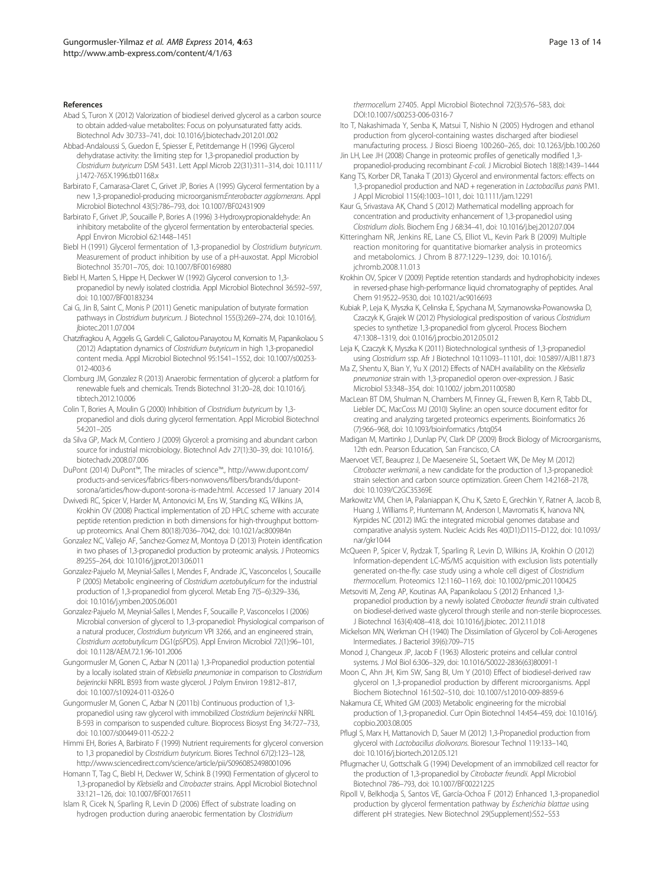#### <span id="page-12-0"></span>References

Abad S, Turon X (2012) Valorization of biodiesel derived glycerol as a carbon source to obtain added-value metabolites: Focus on polyunsaturated fatty acids. Biotechnol Adv 30:733–741, doi: 10.1016/j.biotechadv.2012.01.002

Abbad-Andaloussi S, Guedon E, Spiesser E, Petitdemange H (1996) Glycerol dehydratase activity: the limiting step for 1,3-propanediol production by Clostridium butyricum DSM 5431. Lett Appl Microb 22(31):311–314, doi: 10.1111/ j.1472-765X.1996.tb01168.x

- Barbirato F, Camarasa-Claret C, Grivet JP, Bories A (1995) Glycerol fermentation by a new 1,3-propanediol-producing microorganism:Enterobacter agglomerans. Appl Microbiol Biotechnol 43(5):786–793, doi: 10.1007/BF02431909
- Barbirato F, Grivet JP, Soucaille P, Bories A (1996) 3-Hydroxypropionaldehyde: An inhibitory metabolite of the glycerol fermentation by enterobacterial species. Appl Environ Microbiol 62:1448–1451
- Biebl H (1991) Glycerol fermentation of 1,3-propanediol by Clostridium butyricum. Measurement of product inhibition by use of a pH-auxostat. Appl Microbiol Biotechnol 35:701–705, doi: 10.1007/BF00169880
- Biebl H, Marten S, Hippe H, Deckwer W (1992) Glycerol conversion to 1,3 propanediol by newly isolated clostridia. Appl Microbiol Biotechnol 36:592–597, doi: 10.1007/BF00183234
- Cai G, Jin B, Saint C, Monis P (2011) Genetic manipulation of butyrate formation pathways in Clostridium butyricum. J Biotechnol 155(3):269–274, doi: 10.1016/j. jbiotec.2011.07.004
- Chatzifragkou A, Aggelis G, Gardeli C, Galiotou-Panayotou M, Komaitis M, Papanikolaou S (2012) Adaptation dynamics of Clostridium butyricum in high 1,3-propanediol content media. Appl Microbiol Biotechnol 95:1541–1552, doi: 10.1007/s00253- 012-4003-6
- Clomburg JM, Gonzalez R (2013) Anaerobic fermentation of glycerol: a platform for renewable fuels and chemicals. Trends Biotechnol 31:20–28, doi: 10.1016/j. tibtech.2012.10.006
- Colin T, Bories A, Moulin G (2000) Inhibition of Clostridium butyricum by 1,3 propanediol and diols during glycerol fermentation. Appl Microbiol Biotechnol 54:201–205
- da Silva GP, Mack M, Contiero J (2009) Glycerol: a promising and abundant carbon source for industrial microbiology. Biotechnol Adv 27(1):30–39, doi: 10.1016/j. biotechadv.2008.07.006
- DuPont (2014) DuPont™, The miracles of science™., [http://www.dupont.com/](http://www.dupont.com/products-and-services/fabrics-fibers-nonwovens/fibers/brands/dupont-sorona/articles/how-dupont-sorona-is-made.html) [products-and-services/fabrics-fibers-nonwovens/fibers/brands/dupont](http://www.dupont.com/products-and-services/fabrics-fibers-nonwovens/fibers/brands/dupont-sorona/articles/how-dupont-sorona-is-made.html)[sorona/articles/how-dupont-sorona-is-made.html](http://www.dupont.com/products-and-services/fabrics-fibers-nonwovens/fibers/brands/dupont-sorona/articles/how-dupont-sorona-is-made.html). Accessed 17 January 2014
- Dwivedi RC, Spicer V, Harder M, Antonovici M, Ens W, Standing KG, Wilkins JA, Krokhin OV (2008) Practical implementation of 2D HPLC scheme with accurate peptide retention prediction in both dimensions for high-throughput bottomup proteomics. Anal Chem 80(18):7036–7042, doi: 10.1021/ac800984n
- Gonzalez NC, Vallejo AF, Sanchez-Gomez M, Montoya D (2013) Protein identification in two phases of 1,3-propanediol production by proteomic analysis. J Proteomics 89:255–264, doi: 10.1016/j.jprot.2013.06.011
- Gonzalez-Pajuelo M, Meynial-Salles I, Mendes F, Andrade JC, Vasconcelos I, Soucaille P (2005) Metabolic engineering of Clostridium acetobutylicum for the industrial production of 1,3-propanediol from glycerol. Metab Eng 7(5–6):329–336, doi: 10.1016/j.ymben.2005.06.001
- Gonzalez-Pajuelo M, Meynial-Salles I, Mendes F, Soucaille P, Vasconcelos I (2006) Microbial conversion of glycerol to 1,3-propanediol: Physiological comparison of a natural producer, Clostridium butyricum VPI 3266, and an engineered strain, Clostridium acetobutylicum DG1(pSPD5). Appl Environ Microbiol 72(1):96–101, doi: 10.1128/AEM.72.1.96-101.2006
- Gungormusler M, Gonen C, Azbar N (2011a) 1,3-Propanediol production potential by a locally isolated strain of Klebsiella pneumoniae in comparison to Clostridium beijerinckii NRRL B593 from waste glycerol. J Polym Environ 19:812–817, doi: 10.1007/s10924-011-0326-0
- Gungormusler M, Gonen C, Azbar N (2011b) Continuous production of 1,3 propanediol using raw glycerol with immobilized Clostridium beijerinckii NRRL B-593 in comparison to suspended culture. Bioprocess Biosyst Eng 34:727–733, doi: 10.1007/s00449-011-0522-2
- Himmi EH, Bories A, Barbirato F (1999) Nutrient requirements for glycerol conversion to 1,3 propanediol by Clostridium butyricum. Biores Technol 67(2):123–128, <http://www.sciencedirect.com/science/article/pii/S0960852498001096>
- Homann T, Tag C, Biebl H, Deckwer W, Schink B (1990) Fermentation of glycerol to 1,3-propanediol by Klebsiella and Citrobacter strains. Appl Microbiol Biotechnol 33:121–126, doi: 10.1007/BF00176511
- Islam R, Cicek N, Sparling R, Levin D (2006) Effect of substrate loading on hydrogen production during anaerobic fermentation by Clostridium

thermocellum 27405. Appl Microbiol Biotechnol 72(3):576–583, doi: DOI:10.1007/s00253-006-0316-7

- Ito T, Nakashimada Y, Senba K, Matsui T, Nishio N (2005) Hydrogen and ethanol production from glycerol-containing wastes discharged after biodiesel manufacturing process. J Biosci Bioeng 100:260–265, doi: 10.1263/jbb.100.260
- Jin LH, Lee JH (2008) Change in proteomic profiles of genetically modified 1,3 propanediol-producing recombinant E-coli. J Microbiol Biotech 18(8):1439–1444
- Kang TS, Korber DR, Tanaka T (2013) Glycerol and environmental factors: effects on 1,3-propanediol production and NAD + regeneration in Lactobacillus panis PM1. J Appl Microbiol 115(4):1003–1011, doi: 10.1111/jam.12291
- Kaur G, Srivastava AK, Chand S (2012) Mathematical modelling approach for concentration and productivity enhancement of 1,3-propanediol using Clostridium diolis. Biochem Eng J 68:34–41, doi: 10.1016/j.bej.2012.07.004
- Kitteringham NR, Jenkins RE, Lane CS, Elliot VL, Kevin Park B (2009) Multiple reaction monitoring for quantitative biomarker analysis in proteomics and metabolomics. J Chrom B 877:1229–1239, doi: 10.1016/j. jchromb.2008.11.013
- Krokhin OV, Spicer V (2009) Peptide retention standards and hydrophobicity indexes in reversed-phase high-performance liquid chromatography of peptides. Anal Chem 91:9522–9530, doi: 10.1021/ac9016693
- Kubiak P, Leja K, Myszka K, Celinska E, Spychana M, Szymanowska-Powanowska D, Czaczyk K, Grajek W (2012) Physiological predisposition of various Clostridium species to synthetize 1,3-propanediol from glycerol. Process Biochem 47:1308–1319, doi: 0.1016/j.procbio.2012.05.012
- Leja K, Czaczyk K, Myszka K (2011) Biotechnological synthesis of 1,3-propanediol using Clostridium ssp. Afr J Biotechnol 10:11093–11101, doi: 10.5897/AJB11.873
- Ma Z, Shentu X, Bian Y, Yu X (2012) Effects of NADH availability on the Klebsiella pneumoniae strain with 1,3-propanediol operon over-expression. J Basic Microbiol 53:348–354, doi: 10.1002/ jobm.201100580
- MacLean BT DM, Shulman N, Chambers M, Finney GL, Frewen B, Kern R, Tabb DL, Liebler DC, MacCoss MJ (2010) Skyline: an open source document editor for creating and analyzing targeted proteomics experiments. Bioinformatics 26 (7):966–968, doi: 10.1093/bioinformatics /btq054
- Madigan M, Martinko J, Dunlap PV, Clark DP (2009) Brock Biology of Microorganisms, 12th edn. Pearson Education, San Francisco, CA
- Maervoet VET, Beauprez J, De Maeseneire SL, Soetaert WK, De Mey M (2012) Citrobacter werkmanii, a new candidate for the production of 1,3-propanediol: strain selection and carbon source optimization. Green Chem 14:2168–2178, doi: 10.1039/C2GC35369E
- Markowitz VM, Chen IA, Palaniappan K, Chu K, Szeto E, Grechkin Y, Ratner A, Jacob B, Huang J, Williams P, Huntemann M, Anderson I, Mavromatis K, Ivanova NN, Kyrpides NC (2012) IMG: the integrated microbial genomes database and comparative analysis system. Nucleic Acids Res 40(D1):D115–D122, doi: 10.1093/ nar/gkr1044
- McQueen P, Spicer V, Rydzak T, Sparling R, Levin D, Wilkins JA, Krokhin O (2012) Information-dependent LC-MS/MS acquisition with exclusion lists potentially generated on-the-fly: case study using a whole cell digest of Clostridium thermocellum. Proteomics 12:1160–1169, doi: 10.1002/pmic.201100425
- Metsoviti M, Zeng AP, Koutinas AA, Papanikolaou S (2012) Enhanced 1,3 propanediol production by a newly isolated Citrobacter freundii strain cultivated on biodiesel-derived waste glycerol through sterile and non-sterile bioprocesses. J Biotechnol 163(4):408–418, doi: 10.1016/j.jbiotec. 2012.11.018
- Mickelson MN, Werkman CH (1940) The Dissimilation of Glycerol by Coli-Aerogenes Intermediates. J Bacteriol 39(6):709–715
- Monod J, Changeux JP, Jacob F (1963) Allosteric proteins and cellular control systems. J Mol Biol 6:306–329, doi: 10.1016/S0022-2836(63)80091-1
- Moon C, Ahn JH, Kim SW, Sang BI, Um Y (2010) Effect of biodiesel-derived raw glycerol on 1,3-propanediol production by different microorganisms. Appl Biochem Biotechnol 161:502–510, doi: 10.1007/s12010-009-8859-6
- Nakamura CE, Whited GM (2003) Metabolic engineering for the microbial production of 1,3-propanediol. Curr Opin Biotechnol 14:454–459, doi: 10.1016/j. copbio.2003.08.005
- Pflugl S, Marx H, Mattanovich D, Sauer M (2012) 1,3-Propanediol production from glycerol with Lactobacillus diolivorans. Bioresour Technol 119:133–140, doi: 10.1016/j.biortech.2012.05.121
- Pflugmacher U, Gottschalk G (1994) Development of an immobilized cell reactor for the production of 1,3-propanediol by Citrobacter freundii. Appl Microbiol Biotechnol 786–793, doi: 10.1007/BF00221225
- Ripoll V, Belkhodja S, Santos VE, García-Ochoa F (2012) Enhanced 1,3-propanediol production by glycerol fermentation pathway by Escherichia blattae using different pH strategies. New Biotechnol 29(Supplement):S52–S53